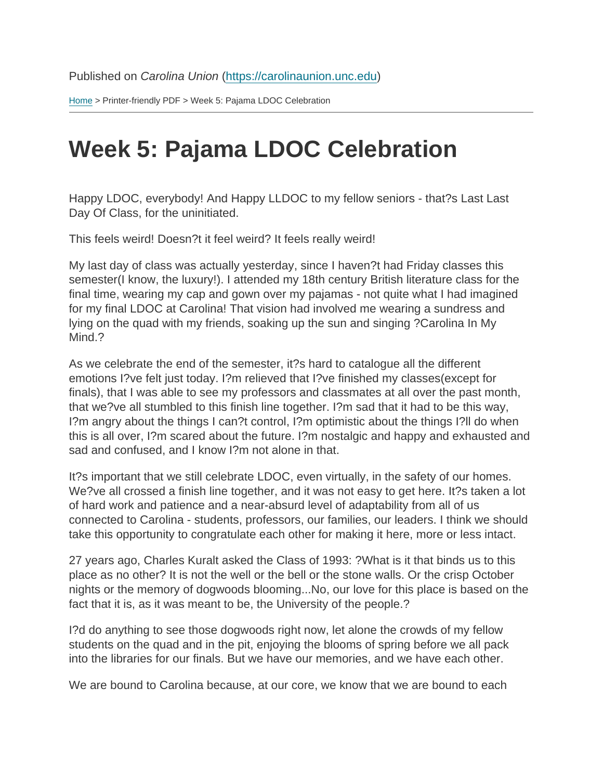[Home](https://carolinaunion.unc.edu/) > Printer-friendly PDF > Week 5: Pajama LDOC Celebration

## Week 5: Pajama LDOC Celebration

Happy LDOC, everybody! And Happy LLDOC to my fellow seniors - that?s Last Last Day Of Class, for the uninitiated.

This feels weird! Doesn?t it feel weird? It feels really weird!

My last day of class was actually yesterday, since I haven?t had Friday classes this semester(I know, the luxury!). I attended my 18th century British literature class for the final time, wearing my cap and gown over my pajamas - not quite what I had imagined for my final LDOC at Carolina! That vision had involved me wearing a sundress and lying on the quad with my friends, soaking up the sun and singing ?Carolina In My Mind.?

As we celebrate the end of the semester, it?s hard to catalogue all the different emotions I?ve felt just today. I?m relieved that I?ve finished my classes(except for finals), that I was able to see my professors and classmates at all over the past month, that we?ve all stumbled to this finish line together. I?m sad that it had to be this way, I?m angry about the things I can?t control, I?m optimistic about the things I?ll do when this is all over, I?m scared about the future. I?m nostalgic and happy and exhausted and sad and confused, and I know I?m not alone in that.

It?s important that we still celebrate LDOC, even virtually, in the safety of our homes. We?ve all crossed a finish line together, and it was not easy to get here. It?s taken a lot of hard work and patience and a near-absurd level of adaptability from all of us connected to Carolina - students, professors, our families, our leaders. I think we should take this opportunity to congratulate each other for making it here, more or less intact.

27 years ago, Charles Kuralt asked the Class of 1993: ?What is it that binds us to this place as no other? It is not the well or the bell or the stone walls. Or the crisp October nights or the memory of dogwoods blooming...No, our love for this place is based on the fact that it is, as it was meant to be, the University of the people.?

I?d do anything to see those dogwoods right now, let alone the crowds of my fellow students on the quad and in the pit, enjoying the blooms of spring before we all pack into the libraries for our finals. But we have our memories, and we have each other.

We are bound to Carolina because, at our core, we know that we are bound to each